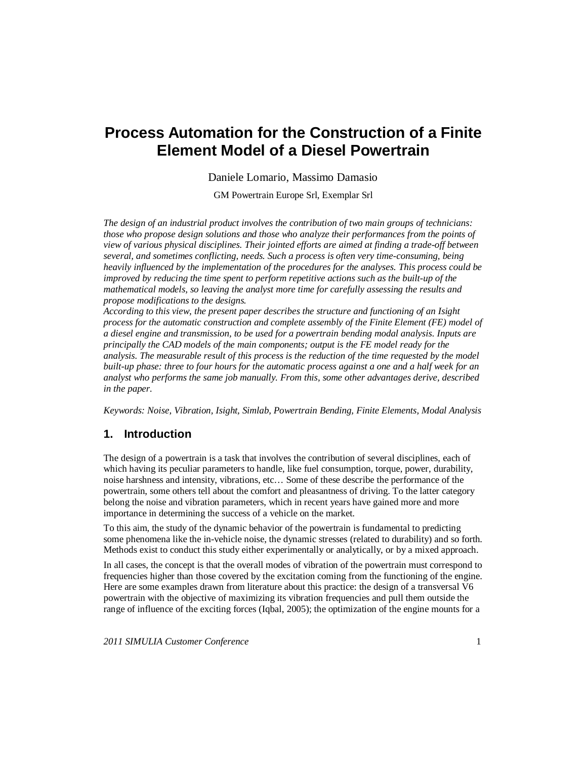# **Process Automation for the Construction of a Finite Element Model of a Diesel Powertrain**

Daniele Lomario, Massimo Damasio

GM Powertrain Europe Srl, Exemplar Srl

*The design of an industrial product involves the contribution of two main groups of technicians: those who propose design solutions and those who analyze their performances from the points of view of various physical disciplines. Their jointed efforts are aimed at finding a trade-off between several, and sometimes conflicting, needs. Such a process is often very time-consuming, being heavily influenced by the implementation of the procedures for the analyses. This process could be improved by reducing the time spent to perform repetitive actions such as the built-up of the mathematical models, so leaving the analyst more time for carefully assessing the results and propose modifications to the designs.*

*According to this view, the present paper describes the structure and functioning of an Isight process for the automatic construction and complete assembly of the Finite Element (FE) model of a diesel engine and transmission, to be used for a powertrain bending modal analysis. Inputs are principally the CAD models of the main components; output is the FE model ready for the analysis. The measurable result of this process is the reduction of the time requested by the model built-up phase: three to four hours for the automatic process against a one and a half week for an analyst who performs the same job manually. From this, some other advantages derive, described in the paper.* 

*Keywords: Noise, Vibration, Isight, Simlab, Powertrain Bending, Finite Elements, Modal Analysis*

# **1. Introduction**

The design of a powertrain is a task that involves the contribution of several disciplines, each of which having its peculiar parameters to handle, like fuel consumption, torque, power, durability, noise harshness and intensity, vibrations, etc… Some of these describe the performance of the powertrain, some others tell about the comfort and pleasantness of driving. To the latter category belong the noise and vibration parameters, which in recent years have gained more and more importance in determining the success of a vehicle on the market.

To this aim, the study of the dynamic behavior of the powertrain is fundamental to predicting some phenomena like the in-vehicle noise, the dynamic stresses (related to durability) and so forth. Methods exist to conduct this study either experimentally or analytically, or by a mixed approach.

In all cases, the concept is that the overall modes of vibration of the powertrain must correspond to frequencies higher than those covered by the excitation coming from the functioning of the engine. Here are some examples drawn from literature about this practice: the design of a transversal V6 powertrain with the objective of maximizing its vibration frequencies and pull them outside the range of influence of the exciting forces (Iqbal, 2005); the optimization of the engine mounts for a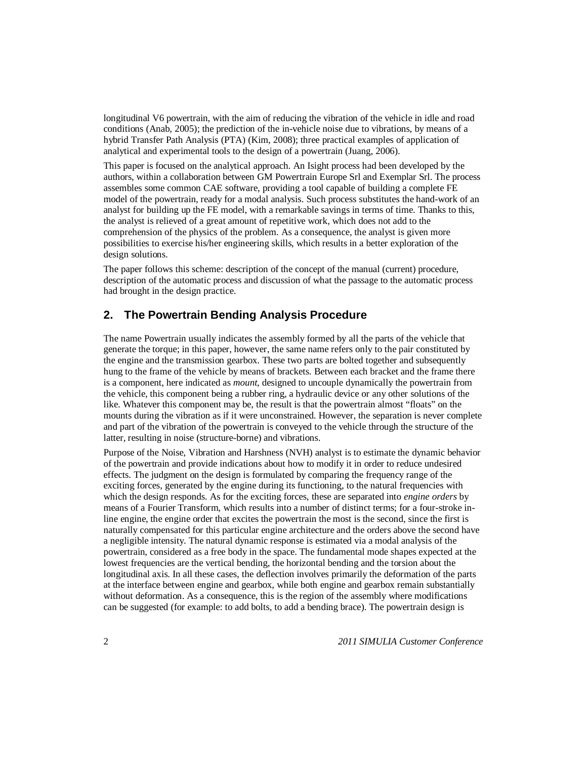longitudinal V6 powertrain, with the aim of reducing the vibration of the vehicle in idle and road conditions (Anab, 2005); the prediction of the in-vehicle noise due to vibrations, by means of a hybrid Transfer Path Analysis (PTA) (Kim, 2008); three practical examples of application of analytical and experimental tools to the design of a powertrain (Juang, 2006).

This paper is focused on the analytical approach. An Isight process had been developed by the authors, within a collaboration between GM Powertrain Europe Srl and Exemplar Srl. The process assembles some common CAE software, providing a tool capable of building a complete FE model of the powertrain, ready for a modal analysis. Such process substitutes the hand-work of an analyst for building up the FE model, with a remarkable savings in terms of time. Thanks to this, the analyst is relieved of a great amount of repetitive work, which does not add to the comprehension of the physics of the problem. As a consequence, the analyst is given more possibilities to exercise his/her engineering skills, which results in a better exploration of the design solutions.

The paper follows this scheme: description of the concept of the manual (current) procedure, description of the automatic process and discussion of what the passage to the automatic process had brought in the design practice.

# **2. The Powertrain Bending Analysis Procedure**

The name Powertrain usually indicates the assembly formed by all the parts of the vehicle that generate the torque; in this paper, however, the same name refers only to the pair constituted by the engine and the transmission gearbox. These two parts are bolted together and subsequently hung to the frame of the vehicle by means of brackets. Between each bracket and the frame there is a component, here indicated as *mount*, designed to uncouple dynamically the powertrain from the vehicle, this component being a rubber ring, a hydraulic device or any other solutions of the like. Whatever this component may be, the result is that the powertrain almost "floats" on the mounts during the vibration as if it were unconstrained. However, the separation is never complete and part of the vibration of the powertrain is conveyed to the vehicle through the structure of the latter, resulting in noise (structure-borne) and vibrations.

Purpose of the Noise, Vibration and Harshness (NVH) analyst is to estimate the dynamic behavior of the powertrain and provide indications about how to modify it in order to reduce undesired effects. The judgment on the design is formulated by comparing the frequency range of the exciting forces, generated by the engine during its functioning, to the natural frequencies with which the design responds. As for the exciting forces, these are separated into *engine orders* by means of a Fourier Transform, which results into a number of distinct terms; for a four-stroke inline engine, the engine order that excites the powertrain the most is the second, since the first is naturally compensated for this particular engine architecture and the orders above the second have a negligible intensity. The natural dynamic response is estimated via a modal analysis of the powertrain, considered as a free body in the space. The fundamental mode shapes expected at the lowest frequencies are the vertical bending, the horizontal bending and the torsion about the longitudinal axis. In all these cases, the deflection involves primarily the deformation of the parts at the interface between engine and gearbox, while both engine and gearbox remain substantially without deformation. As a consequence, this is the region of the assembly where modifications can be suggested (for example: to add bolts, to add a bending brace). The powertrain design is

2 *2011 SIMULIA Customer Conference*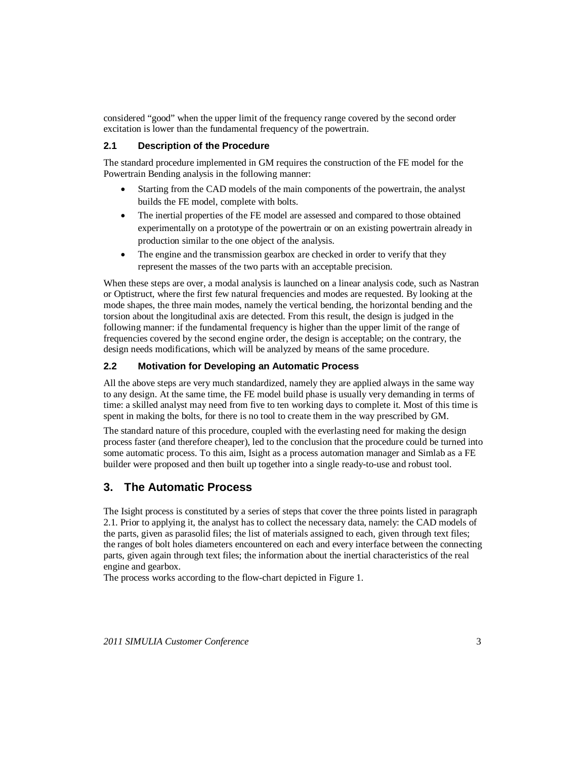considered "good" when the upper limit of the frequency range covered by the second order excitation is lower than the fundamental frequency of the powertrain.

### **2.1 Description of the Procedure**

The standard procedure implemented in GM requires the construction of the FE model for the Powertrain Bending analysis in the following manner:

- Starting from the CAD models of the main components of the powertrain, the analyst builds the FE model, complete with bolts.
- The inertial properties of the FE model are assessed and compared to those obtained experimentally on a prototype of the powertrain or on an existing powertrain already in production similar to the one object of the analysis.
- The engine and the transmission gearbox are checked in order to verify that they represent the masses of the two parts with an acceptable precision.

When these steps are over, a modal analysis is launched on a linear analysis code, such as Nastran or Optistruct, where the first few natural frequencies and modes are requested. By looking at the mode shapes, the three main modes, namely the vertical bending, the horizontal bending and the torsion about the longitudinal axis are detected. From this result, the design is judged in the following manner: if the fundamental frequency is higher than the upper limit of the range of frequencies covered by the second engine order, the design is acceptable; on the contrary, the design needs modifications, which will be analyzed by means of the same procedure.

#### **2.2 Motivation for Developing an Automatic Process**

All the above steps are very much standardized, namely they are applied always in the same way to any design. At the same time, the FE model build phase is usually very demanding in terms of time: a skilled analyst may need from five to ten working days to complete it. Most of this time is spent in making the bolts, for there is no tool to create them in the way prescribed by GM.

The standard nature of this procedure, coupled with the everlasting need for making the design process faster (and therefore cheaper), led to the conclusion that the procedure could be turned into some automatic process. To this aim, Isight as a process automation manager and Simlab as a FE builder were proposed and then built up together into a single ready-to-use and robust tool.

# **3. The Automatic Process**

The Isight process is constituted by a series of steps that cover the three points listed in paragraph 2.1. Prior to applying it, the analyst has to collect the necessary data, namely: the CAD models of the parts, given as parasolid files; the list of materials assigned to each, given through text files; the ranges of bolt holes diameters encountered on each and every interface between the connecting parts, given again through text files; the information about the inertial characteristics of the real engine and gearbox.

The process works according to the flow-chart depicted in Figure 1.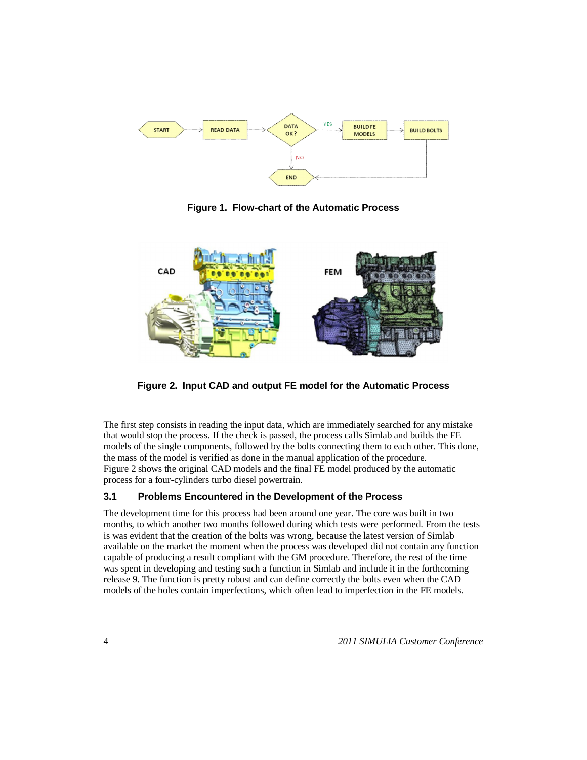

**Figure 1. Flow-chart of the Automatic Process** 



**Figure 2. Input CAD and output FE model for the Automatic Process** 

The first step consists in reading the input data, which are immediately searched for any mistake that would stop the process. If the check is passed, the process calls Simlab and builds the FE models of the single components, followed by the bolts connecting them to each other. This done, the mass of the model is verified as done in the manual application of the procedure. Figure 2 shows the original CAD models and the final FE model produced by the automatic process for a four-cylinders turbo diesel powertrain.

#### **3.1 Problems Encountered in the Development of the Process**

The development time for this process had been around one year. The core was built in two months, to which another two months followed during which tests were performed. From the tests is was evident that the creation of the bolts was wrong, because the latest version of Simlab available on the market the moment when the process was developed did not contain any function capable of producing a result compliant with the GM procedure. Therefore, the rest of the time was spent in developing and testing such a function in Simlab and include it in the forthcoming release 9. The function is pretty robust and can define correctly the bolts even when the CAD models of the holes contain imperfections, which often lead to imperfection in the FE models.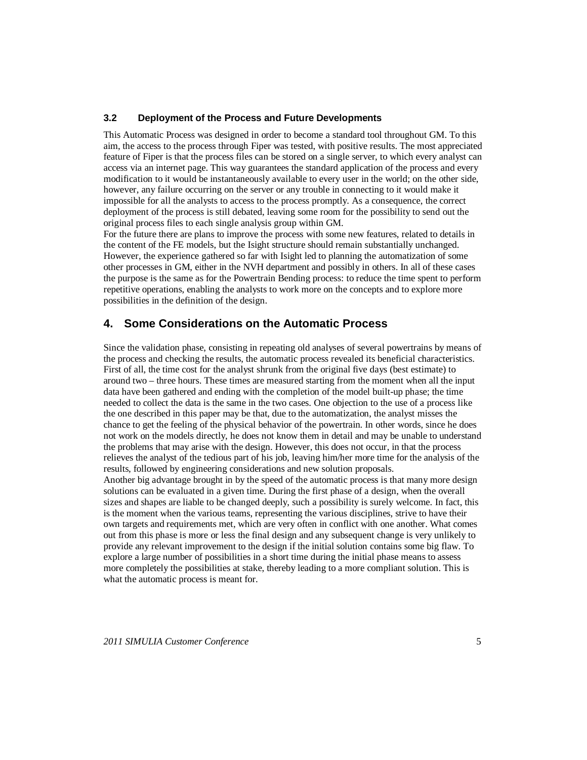#### **3.2 Deployment of the Process and Future Developments**

This Automatic Process was designed in order to become a standard tool throughout GM. To this aim, the access to the process through Fiper was tested, with positive results. The most appreciated feature of Fiper is that the process files can be stored on a single server, to which every analyst can access via an internet page. This way guarantees the standard application of the process and every modification to it would be instantaneously available to every user in the world; on the other side, however, any failure occurring on the server or any trouble in connecting to it would make it impossible for all the analysts to access to the process promptly. As a consequence, the correct deployment of the process is still debated, leaving some room for the possibility to send out the original process files to each single analysis group within GM.

For the future there are plans to improve the process with some new features, related to details in the content of the FE models, but the Isight structure should remain substantially unchanged. However, the experience gathered so far with Isight led to planning the automatization of some other processes in GM, either in the NVH department and possibly in others. In all of these cases the purpose is the same as for the Powertrain Bending process: to reduce the time spent to perform repetitive operations, enabling the analysts to work more on the concepts and to explore more possibilities in the definition of the design.

## **4. Some Considerations on the Automatic Process**

Since the validation phase, consisting in repeating old analyses of several powertrains by means of the process and checking the results, the automatic process revealed its beneficial characteristics. First of all, the time cost for the analyst shrunk from the original five days (best estimate) to around two – three hours. These times are measured starting from the moment when all the input data have been gathered and ending with the completion of the model built-up phase; the time needed to collect the data is the same in the two cases. One objection to the use of a process like the one described in this paper may be that, due to the automatization, the analyst misses the chance to get the feeling of the physical behavior of the powertrain. In other words, since he does not work on the models directly, he does not know them in detail and may be unable to understand the problems that may arise with the design. However, this does not occur, in that the process relieves the analyst of the tedious part of his job, leaving him/her more time for the analysis of the results, followed by engineering considerations and new solution proposals. Another big advantage brought in by the speed of the automatic process is that many more design solutions can be evaluated in a given time. During the first phase of a design, when the overall sizes and shapes are liable to be changed deeply, such a possibility is surely welcome. In fact, this is the moment when the various teams, representing the various disciplines, strive to have their own targets and requirements met, which are very often in conflict with one another. What comes out from this phase is more or less the final design and any subsequent change is very unlikely to provide any relevant improvement to the design if the initial solution contains some big flaw. To explore a large number of possibilities in a short time during the initial phase means to assess more completely the possibilities at stake, thereby leading to a more compliant solution. This is what the automatic process is meant for.